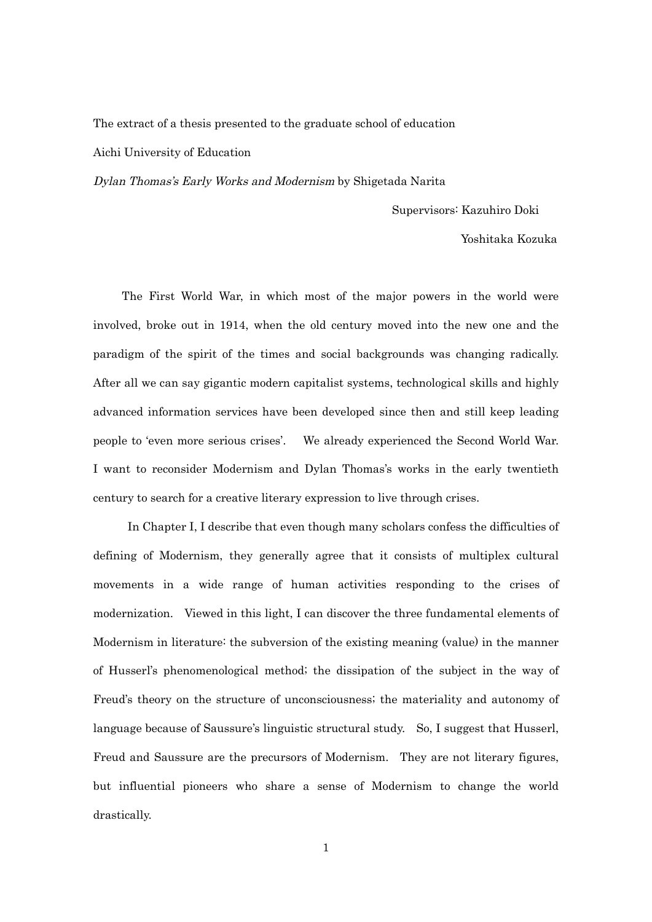## The extract of a thesis presented to the graduate school of education Aichi University of Education

Dylan Thomas's Early Works and Modernism by Shigetada Narita

Supervisors: Kazuhiro Doki

Yoshitaka Kozuka

The First World War, in which most of the major powers in the world were involved, broke out in 1914, when the old century moved into the new one and the paradigm of the spirit of the times and social backgrounds was changing radically. After all we can say gigantic modern capitalist systems, technological skills and highly advanced information services have been developed since then and still keep leading people to 'even more serious crises'. We already experienced the Second World War. I want to reconsider Modernism and Dylan Thomas's works in the early twentieth century to search for a creative literary expression to live through crises.

In Chapter I, I describe that even though many scholars confess the difficulties of defining of Modernism, they generally agree that it consists of multiplex cultural movements in a wide range of human activities responding to the crises of modernization. Viewed in this light, I can discover the three fundamental elements of Modernism in literature: the subversion of the existing meaning (value) in the manner of Husserl's phenomenological method; the dissipation of the subject in the way of Freud's theory on the structure of unconsciousness; the materiality and autonomy of language because of Saussure's linguistic structural study. So, I suggest that Husserl, Freud and Saussure are the precursors of Modernism. They are not literary figures, but influential pioneers who share a sense of Modernism to change the world drastically.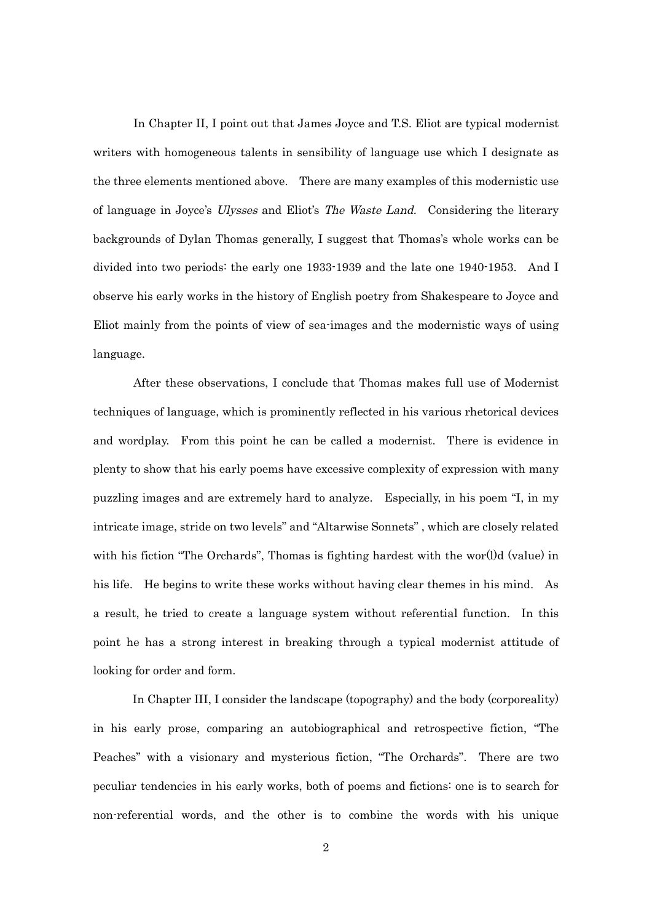In Chapter II, I point out that James Joyce and T.S. Eliot are typical modernist writers with homogeneous talents in sensibility of language use which I designate as the three elements mentioned above. There are many examples of this modernistic use of language in Joyce's Ulysses and Eliot's The Waste Land. Considering the literary backgrounds of Dylan Thomas generally, I suggest that Thomas's whole works can be divided into two periods: the early one 1933-1939 and the late one 1940-1953. And I observe his early works in the history of English poetry from Shakespeare to Joyce and Eliot mainly from the points of view of sea-images and the modernistic ways of using language.

After these observations, I conclude that Thomas makes full use of Modernist techniques of language, which is prominently reflected in his various rhetorical devices and wordplay. From this point he can be called a modernist. There is evidence in plenty to show that his early poems have excessive complexity of expression with many puzzling images and are extremely hard to analyze. Especially, in his poem "I, in my intricate image, stride on two levels" and "Altarwise Sonnets" , which are closely related with his fiction "The Orchards", Thomas is fighting hardest with the wor(l)d (value) in his life. He begins to write these works without having clear themes in his mind. As a result, he tried to create a language system without referential function. In this point he has a strong interest in breaking through a typical modernist attitude of looking for order and form.

In Chapter III, I consider the landscape (topography) and the body (corporeality) in his early prose, comparing an autobiographical and retrospective fiction, "The Peaches" with a visionary and mysterious fiction, "The Orchards". There are two peculiar tendencies in his early works, both of poems and fictions: one is to search for non-referential words, and the other is to combine the words with his unique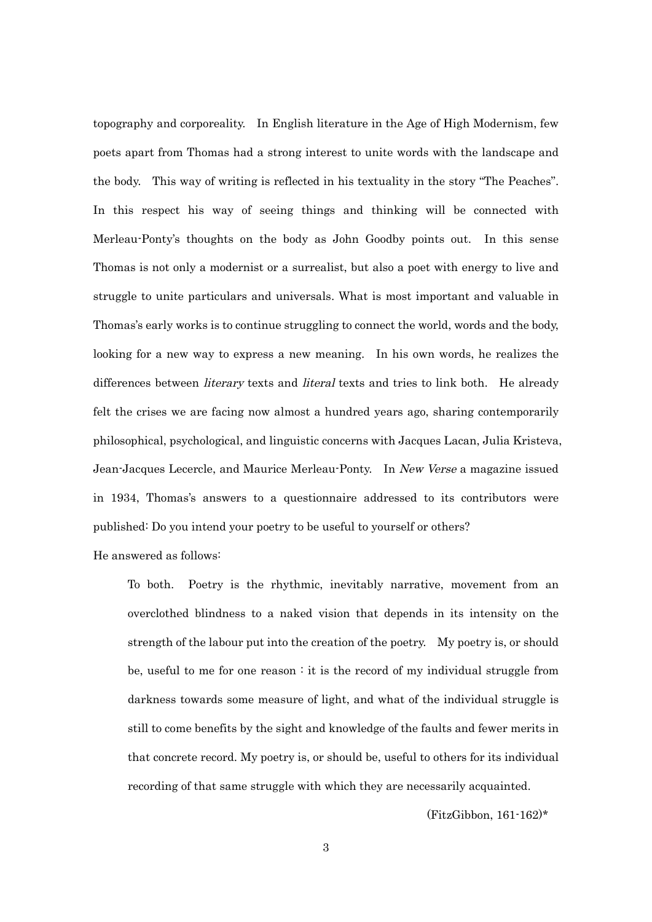topography and corporeality. In English literature in the Age of High Modernism, few poets apart from Thomas had a strong interest to unite words with the landscape and the body. This way of writing is reflected in his textuality in the story "The Peaches". In this respect his way of seeing things and thinking will be connected with Merleau-Ponty's thoughts on the body as John Goodby points out. In this sense Thomas is not only a modernist or a surrealist, but also a poet with energy to live and struggle to unite particulars and universals. What is most important and valuable in Thomas's early works is to continue struggling to connect the world, words and the body, looking for a new way to express a new meaning. In his own words, he realizes the differences between *literary* texts and *literal* texts and tries to link both. He already felt the crises we are facing now almost a hundred years ago, sharing contemporarily philosophical, psychological, and linguistic concerns with Jacques Lacan, Julia Kristeva, Jean-Jacques Lecercle, and Maurice Merleau-Ponty. In New Verse a magazine issued in 1934, Thomas's answers to a questionnaire addressed to its contributors were published: Do you intend your poetry to be useful to yourself or others?

He answered as follows:

To both. Poetry is the rhythmic, inevitably narrative, movement from an overclothed blindness to a naked vision that depends in its intensity on the strength of the labour put into the creation of the poetry. My poetry is, or should be, useful to me for one reason : it is the record of my individual struggle from darkness towards some measure of light, and what of the individual struggle is still to come benefits by the sight and knowledge of the faults and fewer merits in that concrete record. My poetry is, or should be, useful to others for its individual recording of that same struggle with which they are necessarily acquainted.

(FitzGibbon, 161-162)\*